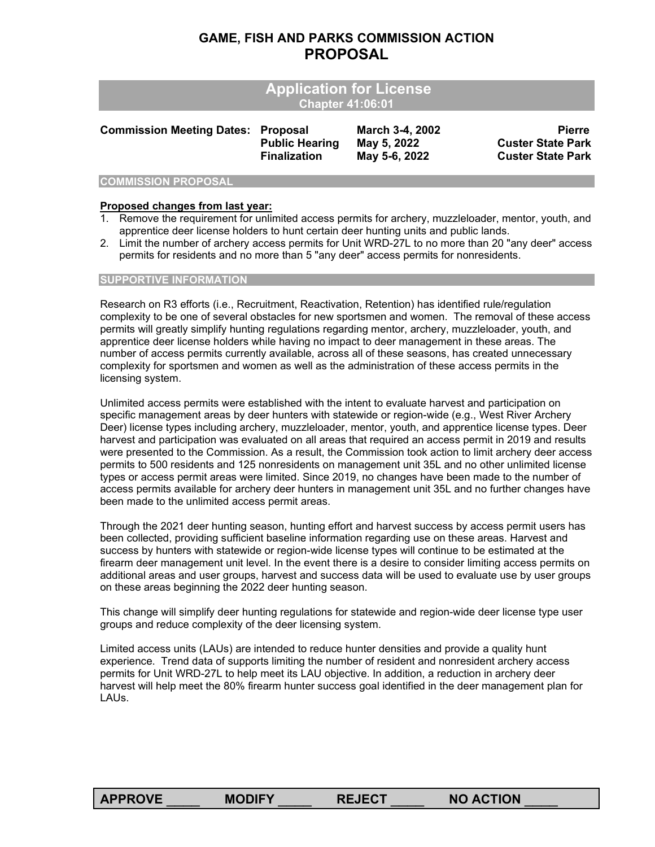#### **GAME, FISH AND PARKS COMMISSION ACTION PROPOSAL**

|                                           | <b>Application for License</b><br><b>Chapter 41:06:01</b> |                                                 |                                                                       |
|-------------------------------------------|-----------------------------------------------------------|-------------------------------------------------|-----------------------------------------------------------------------|
| <b>Commission Meeting Dates: Proposal</b> | <b>Public Hearing</b><br><b>Finalization</b>              | March 3-4, 2002<br>May 5, 2022<br>May 5-6, 2022 | <b>Pierre</b><br><b>Custer State Park</b><br><b>Custer State Park</b> |

#### **COMMISSION PROPOSAL**

#### **Proposed changes from last year:**

- 1. Remove the requirement for unlimited access permits for archery, muzzleloader, mentor, youth, and apprentice deer license holders to hunt certain deer hunting units and public lands.
- 2. Limit the number of archery access permits for Unit WRD-27L to no more than 20 "any deer" access permits for residents and no more than 5 "any deer" access permits for nonresidents.

#### **SUPPORTIVE INFORMATION**

Research on R3 efforts (i.e., Recruitment, Reactivation, Retention) has identified rule/regulation complexity to be one of several obstacles for new sportsmen and women. The removal of these access permits will greatly simplify hunting regulations regarding mentor, archery, muzzleloader, youth, and apprentice deer license holders while having no impact to deer management in these areas. The number of access permits currently available, across all of these seasons, has created unnecessary complexity for sportsmen and women as well as the administration of these access permits in the licensing system.

Unlimited access permits were established with the intent to evaluate harvest and participation on specific management areas by deer hunters with statewide or region-wide (e.g., West River Archery Deer) license types including archery, muzzleloader, mentor, youth, and apprentice license types. Deer harvest and participation was evaluated on all areas that required an access permit in 2019 and results were presented to the Commission. As a result, the Commission took action to limit archery deer access permits to 500 residents and 125 nonresidents on management unit 35L and no other unlimited license types or access permit areas were limited. Since 2019, no changes have been made to the number of access permits available for archery deer hunters in management unit 35L and no further changes have been made to the unlimited access permit areas.

Through the 2021 deer hunting season, hunting effort and harvest success by access permit users has been collected, providing sufficient baseline information regarding use on these areas. Harvest and success by hunters with statewide or region-wide license types will continue to be estimated at the firearm deer management unit level. In the event there is a desire to consider limiting access permits on additional areas and user groups, harvest and success data will be used to evaluate use by user groups on these areas beginning the 2022 deer hunting season.

This change will simplify deer hunting regulations for statewide and region-wide deer license type user groups and reduce complexity of the deer licensing system.

Limited access units (LAUs) are intended to reduce hunter densities and provide a quality hunt experience. Trend data of supports limiting the number of resident and nonresident archery access permits for Unit WRD-27L to help meet its LAU objective. In addition, a reduction in archery deer harvest will help meet the 80% firearm hunter success goal identified in the deer management plan for LAUs.

**APPROVE** \_\_\_\_ **MODIFY** \_\_\_\_ **REJECT** \_\_\_\_ **NO ACTION** \_\_\_\_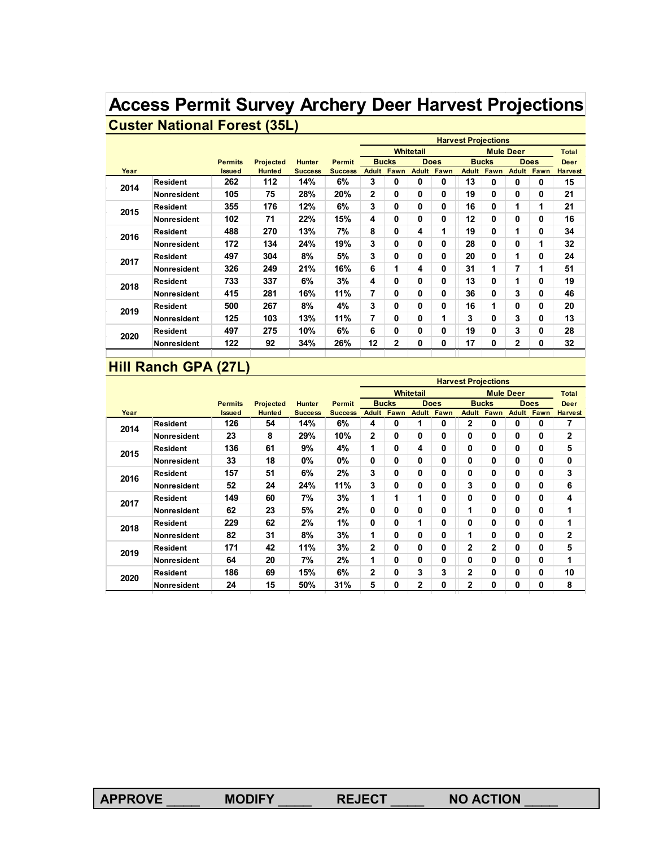# **Access Permit Survey Archery Deer Harvest Projections Custer National Forest (35L)**

|      |                    |                |                  |                |                |              |              |                  |                   | <b>Harvest Projections</b> |              |                  |             |                |
|------|--------------------|----------------|------------------|----------------|----------------|--------------|--------------|------------------|-------------------|----------------------------|--------------|------------------|-------------|----------------|
|      |                    |                |                  |                |                |              |              | <b>Whitetail</b> |                   |                            |              | <b>Mule Deer</b> |             | <b>Total</b>   |
|      |                    | <b>Permits</b> | <b>Projected</b> | <b>Hunter</b>  | <b>Permit</b>  |              | <b>Bucks</b> |                  | <b>Does</b>       |                            | <b>Bucks</b> |                  | <b>Does</b> | <b>Deer</b>    |
| Year |                    | <b>Issued</b>  | <b>Hunted</b>    | <b>Success</b> | <b>Success</b> | Adult        | Fawn         |                  | <b>Adult Fawn</b> | Adult                      | Fawn         | <b>Adult</b>     | Fawn        | <b>Harvest</b> |
| 2014 | <b>Resident</b>    | 262            | 112              | 14%            | 6%             | 3            | 0            | 0                | 0                 | 13                         | 0            | 0                | 0           | 15             |
|      | Nonresident        | 105            | 75               | 28%            | 20%            | $\mathbf{2}$ | $\mathbf{0}$ | 0                | $\bf{0}$          | 19                         | 0            | 0                | 0           | 21             |
| 2015 | Resident           | 355            | 176              | 12%            | 6%             | 3            | 0            | 0                | $\mathbf{0}$      | 16                         | 0            | 1                | 1           | 21             |
|      | <b>Nonresident</b> | 102            | 71               | 22%            | 15%            | 4            | $\mathbf{0}$ | 0                | $\bf{0}$          | 12                         | 0            | 0                | 0           | 16             |
| 2016 | Resident           | 488            | 270              | 13%            | 7%             | 8            | $\mathbf{0}$ | 4                | 1                 | 19                         | 0            | 1                | 0           | 34             |
|      | Nonresident        | 172            | 134              | 24%            | 19%            | 3            | 0            | 0                | 0                 | 28                         | 0            | 0                | 1           | 32             |
| 2017 | <b>Resident</b>    | 497            | 304              | 8%             | 5%             | 3            | 0            | 0                | 0                 | 20                         | 0            | 1                | 0           | 24             |
|      | Nonresident        | 326            | 249              | 21%            | 16%            | 6            | 1            | 4                | $\mathbf{0}$      | 31                         | 1            | 7                | 1           | 51             |
| 2018 | <b>Resident</b>    | 733            | 337              | 6%             | 3%             | 4            | 0            | 0                | $\mathbf{0}$      | 13                         | 0            | 1                | 0           | 19             |
|      | Nonresident        | 415            | 281              | 16%            | 11%            | 7            | $\mathbf{0}$ | 0                | $\bf{0}$          | 36                         | 0            | 3                | 0           | 46             |
| 2019 | Resident           | 500            | 267              | 8%             | 4%             | 3            | $\mathbf{0}$ | 0                | 0                 | 16                         | 1            | 0                | 0           | 20             |
|      | Nonresident        | 125            | 103              | 13%            | 11%            | 7            | $\mathbf{0}$ | 0                | 1                 | 3                          | 0            | 3                | 0           | 13             |
| 2020 | Resident           | 497            | 275              | 10%            | 6%             | 6            | $\mathbf{0}$ | 0                | 0                 | 19                         | 0            | 3                | 0           | 28             |
|      | Nonresident        | 122            | 92               | 34%            | 26%            | 12           | 2            | 0                | 0                 | 17                         | 0            | 2                | 0           | 32             |
|      |                    |                |                  |                |                |              |              |                  |                   |                            |              |                  |             |                |

## **Hill Ranch GPA (27L)**

|      |                    |                |                  |                |                |              |                   |                      |             | <b>Harvest Projections</b> |              |                  |                   |                |
|------|--------------------|----------------|------------------|----------------|----------------|--------------|-------------------|----------------------|-------------|----------------------------|--------------|------------------|-------------------|----------------|
|      |                    |                |                  |                |                |              |                   | <b>Whitetail</b>     |             |                            |              | <b>Mule Deer</b> |                   | <b>Total</b>   |
|      |                    | <b>Permits</b> | <b>Projected</b> | <b>Hunter</b>  | <b>Permit</b>  |              | <b>Bucks</b>      |                      | <b>Does</b> |                            | <b>Bucks</b> |                  | <b>Does</b>       | <b>Deer</b>    |
| Year |                    | <b>Issued</b>  | <b>Hunted</b>    | <b>Success</b> | <b>Success</b> |              | <b>Adult Fawn</b> | <b>Adult</b>         | Fawn        | <b>Adult</b>               | Fawn         |                  | <b>Adult Fawn</b> | <b>Harvest</b> |
| 2014 | <b>Resident</b>    | 126            | 54               | 14%            | 6%             | 4            | 0                 | 1                    | 0           | $\mathbf{2}$               | 0            | 0                | 0                 | 7              |
|      | <b>Nonresident</b> | 23             | 8                | 29%            | 10%            | 2            | 0                 | $\mathbf{0}$         | 0           | 0                          | 0            | 0                | 0                 | $\mathbf{2}$   |
| 2015 | <b>Resident</b>    | 136            | 61               | 9%             | 4%             | 1            | 0                 | 4                    | 0           | 0                          | 0            | 0                | $\mathbf{0}$      | 5              |
|      | Nonresident        | 33             | 18               | 0%             | $0\%$          | 0            | 0                 | 0                    | 0           | 0                          | 0            | 0                | 0                 | 0              |
| 2016 | <b>Resident</b>    | 157            | 51               | 6%             | 2%             | 3            | 0                 | $\bf{0}$             | 0           | 0                          | 0            | 0                | $\mathbf{0}$      | 3              |
|      | Nonresident        | 52             | 24               | 24%            | 11%            | 3            | 0                 | $\mathbf{0}$         | 0           | 3                          | 0            | 0                | 0                 | 6              |
| 2017 | Resident           | 149            | 60               | 7%             | 3%             | 1            | 1                 | $\blacktriangleleft$ | 0           | 0                          | 0            | 0                | 0                 | 4              |
|      | Nonresident        | 62             | 23               | 5%             | 2%             | $\mathbf{0}$ | 0                 | 0                    | 0           | 1                          | 0            | $\bf{0}$         | $\mathbf{0}$      | 1              |
| 2018 | <b>Resident</b>    | 229            | 62               | 2%             | 1%             | 0            | 0                 | 1                    | 0           | 0                          | 0            | 0                | $\mathbf{0}$      | 1              |
|      | <b>Nonresident</b> | 82             | 31               | 8%             | 3%             | 1            | 0                 | $\bf{0}$             | 0           | 1                          | 0            | 0                | 0                 | $\mathbf{2}$   |
| 2019 | <b>Resident</b>    | 171            | 42               | 11%            | 3%             | 2            | 0                 | $\mathbf{0}$         | 0           | $\mathbf{2}$               | $\mathbf{2}$ | 0                | $\mathbf{0}$      | 5              |
|      | <b>Nonresident</b> | 64             | 20               | 7%             | 2%             | 1            | 0                 | $\mathbf{0}$         | 0           | 0                          | 0            | $\mathbf{0}$     | 0                 | 1              |
| 2020 | <b>Resident</b>    | 186            | 69               | 15%            | 6%             | 2            | 0                 | 3                    | 3           | $\overline{2}$             | 0            | $\mathbf{0}$     | 0                 | 10             |
|      | <b>Nonresident</b> | 24             | 15               | 50%            | 31%            | 5            | 0                 | $\mathbf{2}$         | 0           | 2                          | 0            | 0                | 0                 | 8              |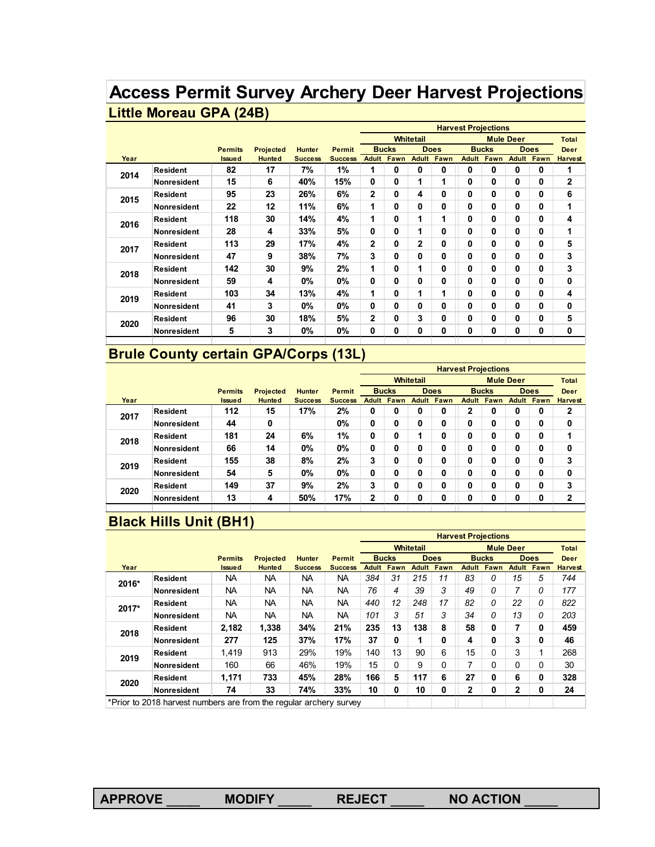# **Access Permit Survey Archery Deer Harvest Projections Little Moreau GPA (24B)**

|      |                    |                |                  |                |                |              |              |                  |                      | <b>Harvest Projections</b> |              |                  |             |                |
|------|--------------------|----------------|------------------|----------------|----------------|--------------|--------------|------------------|----------------------|----------------------------|--------------|------------------|-------------|----------------|
|      |                    |                |                  |                |                |              |              | <b>Whitetail</b> |                      |                            |              | <b>Mule Deer</b> |             | <b>Total</b>   |
|      |                    | <b>Permits</b> | <b>Projected</b> | <b>Hunter</b>  | <b>Permit</b>  |              | <b>Bucks</b> |                  | <b>Does</b>          |                            | <b>Bucks</b> |                  | <b>Does</b> | <b>Deer</b>    |
| Year |                    | <b>Issued</b>  | <b>Hunted</b>    | <b>Success</b> | <b>Success</b> | <b>Adult</b> | Fawn         | <b>Adult</b>     | Fawn                 | <b>Adult</b>               | Fawn         | <b>Adult</b>     | Fawn        | <b>Harvest</b> |
| 2014 | <b>Resident</b>    | 82             | 17               | 7%             | 1%             | 1            | $\mathbf{0}$ | 0                | 0                    | $\bf{0}$                   | 0            | 0                | 0           | 1              |
|      | <b>Nonresident</b> | 15             | 6                | 40%            | 15%            | $\mathbf{0}$ | 0            | 1                | 1                    | $\bf{0}$                   | 0            | 0                | 0           | 2              |
| 2015 | <b>Resident</b>    | 95             | 23               | 26%            | 6%             | $\mathbf{2}$ | $\mathbf{0}$ | 4                | 0                    | $\mathbf{0}$               | 0            | 0                | 0           | 6              |
|      | <b>Nonresident</b> | 22             | 12               | 11%            | 6%             | 1            | $\mathbf{0}$ | 0                | 0                    | 0                          | 0            | 0                | 0           | 1              |
| 2016 | <b>Resident</b>    | 118            | 30               | 14%            | 4%             | 1            | 0            | 1                | 1                    | 0                          | 0            | 0                | 0           | 4              |
|      | <b>Nonresident</b> | 28             | 4                | 33%            | 5%             | 0            | 0            | 1                | 0                    | 0                          | 0            | 0                | 0           | 1              |
| 2017 | Resident           | 113            | 29               | 17%            | 4%             | $\mathbf{2}$ | 0            | $\overline{2}$   | 0                    | $\mathbf{0}$               | 0            | 0                | 0           | 5              |
|      | Nonresident        | 47             | 9                | 38%            | 7%             | 3            | $\mathbf{0}$ | 0                | 0                    | $\bf{0}$                   | 0            | 0                | 0           | 3              |
| 2018 | <b>Resident</b>    | 142            | 30               | 9%             | 2%             | 1            | 0            | 1                | 0                    | 0                          | 0            | 0                | 0           | 3              |
|      | <b>Nonresident</b> | 59             | 4                | $0\%$          | 0%             | $\bf{0}$     | $\mathbf{0}$ | 0                | 0                    | $\bf{0}$                   | 0            | 0                | 0           | 0              |
| 2019 | <b>Resident</b>    | 103            | 34               | 13%            | 4%             | 1            | $\mathbf{0}$ | 1                | $\blacktriangleleft$ | $\bf{0}$                   | 0            | 0                | 0           | 4              |
|      | Nonresident        | 41             | 3                | $0\%$          | $0\%$          | $\Omega$     | $\mathbf{0}$ | 0                | 0                    | $\mathbf{0}$               | 0            | 0                | 0           | 0              |
| 2020 | <b>Resident</b>    | 96             | 30               | 18%            | 5%             | $\mathbf{2}$ | 0            | 3                | 0                    | 0                          | 0            | 0                | 0           | 5              |
|      | <b>Nonresident</b> | 5              | 3                | 0%             | $0\%$          | 0            | 0            | 0                | 0                    | 0                          | 0            | 0                | 0           | 0              |
|      |                    |                |                  |                |                |              |              |                  |                      |                            |              |                  |             |                |

## **Brule County certain GPA/Corps (13L)**

|      |                    |                |               |                |                |              |              |                  |             |              | <b>Harvest Projections</b> |                  |                   |                |
|------|--------------------|----------------|---------------|----------------|----------------|--------------|--------------|------------------|-------------|--------------|----------------------------|------------------|-------------------|----------------|
|      |                    |                |               |                |                |              |              | <b>Whitetail</b> |             |              |                            | <b>Mule Deer</b> |                   | <b>Total</b>   |
|      |                    | <b>Permits</b> | Projected     | <b>Hunter</b>  | <b>Permit</b>  |              | <b>Bucks</b> |                  | <b>Does</b> |              | <b>Bucks</b>               |                  | <b>Does</b>       | <b>Deer</b>    |
| Year |                    | <b>Issued</b>  | <b>Hunted</b> | <b>Success</b> | <b>Success</b> | <b>Adult</b> | Fawn         | <b>Adult</b>     | Fawn        | <b>Adult</b> | Fawn                       |                  | <b>Adult Fawn</b> | <b>Harvest</b> |
| 2017 | <b>Resident</b>    | 112            | 15            | 17%            | 2%             | 0            | 0            | 0                | 0           | $\mathbf{2}$ | 0                          | 0                | 0                 | 2              |
|      | <b>Nonresident</b> | 44             | 0             |                | 0%             | 0            | 0            | 0                | 0           | 0            | 0                          | 0                | 0                 | 0              |
| 2018 | Resident           | 181            | 24            | 6%             | 1%             | 0            | 0            |                  | 0           | 0            | 0                          | 0                | 0                 | -1             |
|      | <b>Nonresident</b> | 66             | 14            | 0%             | 0%             | 0            | 0            | 0                | 0           | 0            | 0                          | 0                | 0                 | 0              |
| 2019 | <b>Resident</b>    | 155            | 38            | 8%             | 2%             | 3            | 0            | 0                | 0           | 0            | 0                          | 0                | 0                 | 3              |
|      | Nonresident        | 54             | 5             | 0%             | 0%             | 0            | 0            | 0                | 0           | 0            | 0                          | 0                | 0                 | 0              |
| 2020 | Resident           | 149            | 37            | 9%             | 2%             | 3            | 0            | 0                | 0           | 0            | 0                          | 0                | 0                 | 3              |
|      | Nonresident        | 13             | 4             | 50%            | 17%            | $\mathbf{2}$ | 0            | 0                | 0           | 0            | 0                          | 0                | 0                 | $\mathbf{2}$   |
|      |                    |                |               |                |                |              |              |                  |             |              |                            |                  |                   |                |

## **Black Hills Unit (BH1)**

|       |                                                                    |                |                  |                |                |              |             |                  |             | <b>Harvest Projections</b> |              |                  |             |                |
|-------|--------------------------------------------------------------------|----------------|------------------|----------------|----------------|--------------|-------------|------------------|-------------|----------------------------|--------------|------------------|-------------|----------------|
|       |                                                                    |                |                  |                |                |              |             | <b>Whitetail</b> |             |                            |              | <b>Mule Deer</b> |             | <b>Total</b>   |
|       |                                                                    | <b>Permits</b> | <b>Projected</b> | <b>Hunter</b>  | <b>Permit</b>  | <b>Bucks</b> |             |                  | <b>Does</b> |                            | <b>Bucks</b> |                  | <b>Does</b> | Deer           |
| Year  |                                                                    | <b>Issued</b>  | <b>Hunted</b>    | <b>Success</b> | <b>Success</b> | <b>Adult</b> | <b>Fawn</b> | <b>Adult</b>     | Fawn        | <b>Adult</b>               | Fawn         | <b>Adult</b>     | Fawn        | <b>Harvest</b> |
| 2016* | <b>Resident</b>                                                    | NA.            | NA.              | <b>NA</b>      | NA.            | 384          | 31          | 215              | 11          | 83                         | 0            | 15               | 5           | 744            |
|       | Nonresident                                                        | NA.            | NA.              | <b>NA</b>      | NA.            | 76           | 4           | 39               | 3           | 49                         | 0            | 7                | 0           | 177            |
| 2017* | Resident                                                           | NA             | <b>NA</b>        | <b>NA</b>      | <b>NA</b>      | 440          | 12          | 248              | 17          | 82                         | 0            | 22               | 0           | 822            |
|       | <b>Nonresident</b>                                                 | NA.            | NA               | <b>NA</b>      | NA.            | 101          | 3           | 51               | 3           | 34                         | 0            | 13               | 0           | 203            |
| 2018  | Resident                                                           | 2,182          | 1,338            | 34%            | 21%            | 235          | 13          | 138              | 8           | 58                         | 0            | 7                | 0           | 459            |
|       | Nonresident                                                        | 277            | 125              | 37%            | 17%            | 37           | 0           | 1                | 0           | 4                          | 0            | 3                | 0           | 46             |
| 2019  | Resident                                                           | 1.419          | 913              | 29%            | 19%            | 140          | 13          | 90               | 6           | 15                         | $\Omega$     | 3                | 1           | 268            |
|       | Nonresident                                                        | 160            | 66               | 46%            | 19%            | 15           | 0           | 9                | 0           | 7                          | $\Omega$     | 0                | 0           | 30             |
| 2020  | Resident                                                           | 1,171          | 733              | 45%            | 28%            | 166          | 5           | 117              | 6           | 27                         | $\mathbf 0$  | 6                | 0           | 328            |
|       | Nonresident                                                        | 74             | 33               | 74%            | 33%            | 10           | 0           | 10               | 0           | $\overline{2}$             | 0            | 2                | 0           | 24             |
|       | *Prior to 2018 harvest numbers are from the regular archery survey |                |                  |                |                |              |             |                  |             |                            |              |                  |             |                |

**APPROVE** \_\_\_\_ **MODIFY** \_\_\_\_ **REJECT** \_\_\_\_ **NO ACTION** \_\_\_\_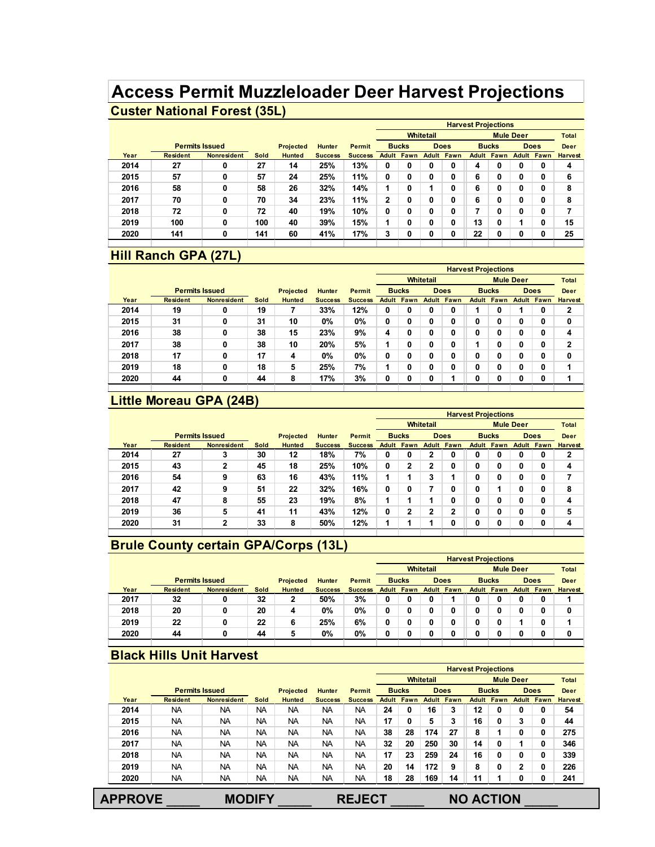# **Access Permit Muzzleloader Deer Harvest Projections**

#### **Custer National Forest (35L)**

|      |                       |                    |      |                  |                |                |   |                   |                  |                   |    | <b>Harvest Projections</b> |                  |                   |                |
|------|-----------------------|--------------------|------|------------------|----------------|----------------|---|-------------------|------------------|-------------------|----|----------------------------|------------------|-------------------|----------------|
|      |                       |                    |      |                  |                |                |   |                   | <b>Whitetail</b> |                   |    |                            | <b>Mule Deer</b> |                   | <b>Total</b>   |
|      | <b>Permits Issued</b> |                    |      | <b>Projected</b> | <b>Hunter</b>  | <b>Permit</b>  |   | <b>Bucks</b>      |                  | <b>Does</b>       |    | <b>Bucks</b>               |                  | <b>Does</b>       | <b>Deer</b>    |
| Year | <b>Resident</b>       | <b>Nonresident</b> | Sold | <b>Hunted</b>    | <b>Success</b> | <b>Success</b> |   | <b>Adult Fawn</b> |                  | <b>Adult Fawn</b> |    | <b>Adult Fawn</b>          |                  | <b>Adult Fawn</b> | <b>Harvest</b> |
| 2014 | 27                    | 0                  | 27   | 14               | 25%            | 13%            | 0 | 0                 | 0                | 0                 | 4  | 0                          |                  | 0                 | 4              |
| 2015 | 57                    | 0                  | 57   | 24               | 25%            | 11%            | 0 | 0                 | 0                | 0                 | 6  | 0                          |                  | 0                 | 6              |
| 2016 | 58                    | 0                  | 58   | 26               | 32%            | 14%            | 1 | 0                 | ٠                | 0                 | 6  | 0                          |                  | 0                 | 8              |
| 2017 | 70                    | 0                  | 70   | 34               | 23%            | 11%            | 2 | 0                 | 0                | 0                 | 6  | 0                          |                  | 0                 | 8              |
| 2018 | 72                    | 0                  | 72   | 40               | 19%            | 10%            | 0 | 0                 | 0                | 0                 | 7  | 0                          |                  | 0                 |                |
| 2019 | 100                   | 0                  | 100  | 40               | 39%            | 15%            | 1 | 0                 | 0                | 0                 | 13 | 0                          |                  | 0                 | 15             |
| 2020 | 141                   | 0                  | 141  | 60               | 41%            | 17%            | 3 | 0                 | 0                | 0                 | 22 | 0                          |                  | $\mathbf 0$       | 25             |

## **Hill Ranch GPA (27L)**

|      |                       |                    |      |                  |                |                |    |                   |                  |                   | <b>Harvest Projections</b> |              |                  |                   |                |
|------|-----------------------|--------------------|------|------------------|----------------|----------------|----|-------------------|------------------|-------------------|----------------------------|--------------|------------------|-------------------|----------------|
|      |                       |                    |      |                  |                |                |    |                   | <b>Whitetail</b> |                   |                            |              | <b>Mule Deer</b> |                   | <b>Total</b>   |
|      | <b>Permits Issued</b> |                    |      | <b>Projected</b> | <b>Hunter</b>  | <b>Permit</b>  |    | <b>Bucks</b>      |                  | <b>Does</b>       |                            | <b>Bucks</b> |                  | <b>Does</b>       | Deer           |
| Year | <b>Resident</b>       | <b>Nonresident</b> | Sold | <b>Hunted</b>    | <b>Success</b> | <b>Success</b> |    | <b>Adult Fawn</b> |                  | <b>Adult Fawn</b> |                            | Adult Fawn   |                  | <b>Adult Fawn</b> | <b>Harvest</b> |
| 2014 | 19                    | 0                  | 19   |                  | 33%            | 12%            | 0  | 0                 | 0                | 0                 |                            | 0            |                  | 0                 | 2              |
| 2015 | 31                    | 0                  | 31   | 10               | 0%             | 0%             | 0  | 0                 | 0                | 0                 | 0                          | 0            | 0                | 0                 | 0              |
| 2016 | 38                    | 0                  | 38   | 15               | 23%            | 9%             | 4  | 0                 | 0                | 0                 | 0                          | 0            | 0                | 0                 | 4              |
| 2017 | 38                    | 0                  | 38   | 10               | 20%            | 5%             | 1  | 0                 | 0                | 0                 |                            | 0            | 0                | 0                 | $\mathbf{2}$   |
| 2018 | 17                    | 0                  | 17   | 4                | 0%             | 0%             | 0  | 0                 | 0                | 0                 | 0                          | 0            | 0                | 0                 | 0              |
| 2019 | 18                    | 0                  | 18   | 5                | 25%            | 7%             | 4. | 0                 | 0                | 0                 | 0                          | 0            | 0                | 0                 | 1              |
| 2020 | 44                    | 0                  | 44   | 8                | 17%            | 3%             | 0  | 0                 | 0                | ٠                 | 0                          | 0            | 0                | 0                 | 4              |

#### **Little Moreau GPA (24B)**

|      |                       |                    |      |               |                |                |   |                   |                  |                   | <b>Harvest Projections</b> |              |                  |                   |                |
|------|-----------------------|--------------------|------|---------------|----------------|----------------|---|-------------------|------------------|-------------------|----------------------------|--------------|------------------|-------------------|----------------|
|      |                       |                    |      |               |                |                |   |                   | <b>Whitetail</b> |                   |                            |              | <b>Mule Deer</b> |                   | <b>Total</b>   |
|      | <b>Permits Issued</b> |                    |      | Projected     | <b>Hunter</b>  | <b>Permit</b>  |   | <b>Bucks</b>      |                  | <b>Does</b>       |                            | <b>Bucks</b> |                  | <b>Does</b>       | Deer           |
| Year | Resident              | <b>Nonresident</b> | Sold | <b>Hunted</b> | <b>Success</b> | <b>Success</b> |   | <b>Adult Fawn</b> |                  | <b>Adult Fawn</b> | Adult                      | Fawn         |                  | <b>Adult Fawn</b> | <b>Harvest</b> |
| 2014 | 27                    | 3                  | 30   | 12            | 18%            | 7%             | 0 | 0                 | 2                | 0                 | 0                          | 0            | 0                | 0                 | $\mathbf 2$    |
| 2015 | 43                    | $\mathbf{2}$       | 45   | 18            | 25%            | 10%            | 0 | 2                 | 2                | 0                 | 0                          | 0            | 0                | 0                 | 4              |
| 2016 | 54                    | 9                  | 63   | 16            | 43%            | 11%            | 1 |                   | 3                |                   | 0                          | 0            | 0                | 0                 | 7              |
| 2017 | 42                    | 9                  | 51   | 22            | 32%            | 16%            | 0 | 0                 |                  | 0                 | 0                          |              | 0                | 0                 | 8              |
| 2018 | 47                    | 8                  | 55   | 23            | 19%            | 8%             | 1 |                   |                  | 0                 | 0                          | 0            | 0                | 0                 | 4              |
| 2019 | 36                    | 5                  | 41   | 11            | 43%            | 12%            | 0 | 2                 | 2                | 2                 | 0                          | 0            | 0                | 0                 | 5              |
| 2020 | 31                    | $\mathbf{2}$       | 33   | 8             | 50%            | 12%            | 4 |                   |                  | 0                 | 0                          | 0            | 0                | 0                 | 4              |

#### **Brule County certain GPA/Corps (13L)**

|      |                       |                    |      |               |                |                |   |                   |                  |                   | <b>Harvest Projections</b> |                   |                  |                   |                |
|------|-----------------------|--------------------|------|---------------|----------------|----------------|---|-------------------|------------------|-------------------|----------------------------|-------------------|------------------|-------------------|----------------|
|      |                       |                    |      |               |                |                |   |                   | <b>Whitetail</b> |                   |                            |                   | <b>Mule Deer</b> |                   | <b>Total</b>   |
|      | <b>Permits Issued</b> |                    |      | Projected     | <b>Hunter</b>  | <b>Permit</b>  |   | <b>Bucks</b>      |                  | <b>Does</b>       |                            | <b>Bucks</b>      |                  | <b>Does</b>       | <b>Deer</b>    |
| Year | <b>Resident</b>       | <b>Nonresident</b> | Sold | <b>Hunted</b> | <b>Success</b> | <b>Success</b> |   | <b>Adult Fawn</b> |                  | <b>Adult Fawn</b> |                            | <b>Adult Fawn</b> |                  | <b>Adult Fawn</b> | <b>Harvest</b> |
| 2017 | 32                    | 0                  | 32   | 2             | 50%            | 3%             | 0 | 0                 |                  |                   | 0                          |                   |                  | 0                 |                |
| 2018 | 20                    | 0                  | 20   | 4             | 0%             | 0%             | 0 | 0                 |                  |                   | 0                          |                   |                  | 0                 | 0              |
| 2019 | 22                    | 0                  | 22   | 6             | 25%            | 6%             | 0 | 0                 |                  |                   |                            |                   |                  | 0                 |                |
| 2020 | 44                    | 0                  | 44   | 5             | 0%             | 0%             | 0 | 0                 |                  |                   | 0                          |                   |                  | 0                 | 0              |
|      |                       |                    |      |               |                |                |   |                   |                  |                   |                            |                   |                  |                   |                |

#### **Black Hills Unit Harvest**

|                |                 |                       |           |                  |                |                |       |              |                  |                   | <b>Harvest Projections</b> |              |                  |                   |                |
|----------------|-----------------|-----------------------|-----------|------------------|----------------|----------------|-------|--------------|------------------|-------------------|----------------------------|--------------|------------------|-------------------|----------------|
|                |                 |                       |           |                  |                |                |       |              | <b>Whitetail</b> |                   |                            |              | <b>Mule Deer</b> |                   | <b>Total</b>   |
|                |                 | <b>Permits Issued</b> |           | <b>Projected</b> | <b>Hunter</b>  | <b>Permit</b>  |       | <b>Bucks</b> |                  | <b>Does</b>       |                            | <b>Bucks</b> | <b>Does</b>      |                   | Deer           |
| Year           | <b>Resident</b> | <b>Nonresident</b>    | Sold      | <b>Hunted</b>    | <b>Success</b> | <b>Success</b> | Adult | Fawn         |                  | <b>Adult Fawn</b> | Adult                      | Fawn         |                  | <b>Adult Fawn</b> | <b>Harvest</b> |
| 2014           | <b>NA</b>       | <b>NA</b>             | NA        | <b>NA</b>        | <b>NA</b>      | <b>NA</b>      | 24    | 0            | 16               | 3                 | 12                         | 0            | 0                | 0                 | 54             |
| 2015           | <b>NA</b>       | NA                    | <b>NA</b> | <b>NA</b>        | <b>NA</b>      | <b>NA</b>      | 17    | 0            | 5                | 3                 | 16                         | 0            | 3                | 0                 | 44             |
| 2016           | <b>NA</b>       | NA                    | <b>NA</b> | <b>NA</b>        | <b>NA</b>      | <b>NA</b>      | 38    | 28           | 174              | 27                | 8                          |              | 0                | 0                 | 275            |
| 2017           | <b>NA</b>       | <b>NA</b>             | <b>NA</b> | <b>NA</b>        | <b>NA</b>      | <b>NA</b>      | 32    | 20           | 250              | 30                | 14                         | 0            | 1                | 0                 | 346            |
| 2018           | <b>NA</b>       | NA                    | <b>NA</b> | <b>NA</b>        | <b>NA</b>      | <b>NA</b>      | 17    | 23           | 259              | 24                | 16                         | 0            | 0                | 0                 | 339            |
| 2019           | <b>NA</b>       | NA                    | <b>NA</b> | <b>NA</b>        | <b>NA</b>      | <b>NA</b>      | 20    | 14           | 172              | 9                 | 8                          | 0            | 2                | 0                 | 226            |
| 2020           | <b>NA</b>       | NA                    | <b>NA</b> | <b>NA</b>        | <b>NA</b>      | <b>NA</b>      | 18    | 28           | 169              | 14                | 11                         |              | 0                | 0                 | 241            |
| <b>APPROVE</b> |                 | <b>MODIFY</b>         |           |                  |                | <b>REJECT</b>  |       |              |                  |                   | <b>NO ACTION</b>           |              |                  |                   |                |
|                |                 |                       |           |                  |                |                |       |              |                  |                   |                            |              |                  |                   |                |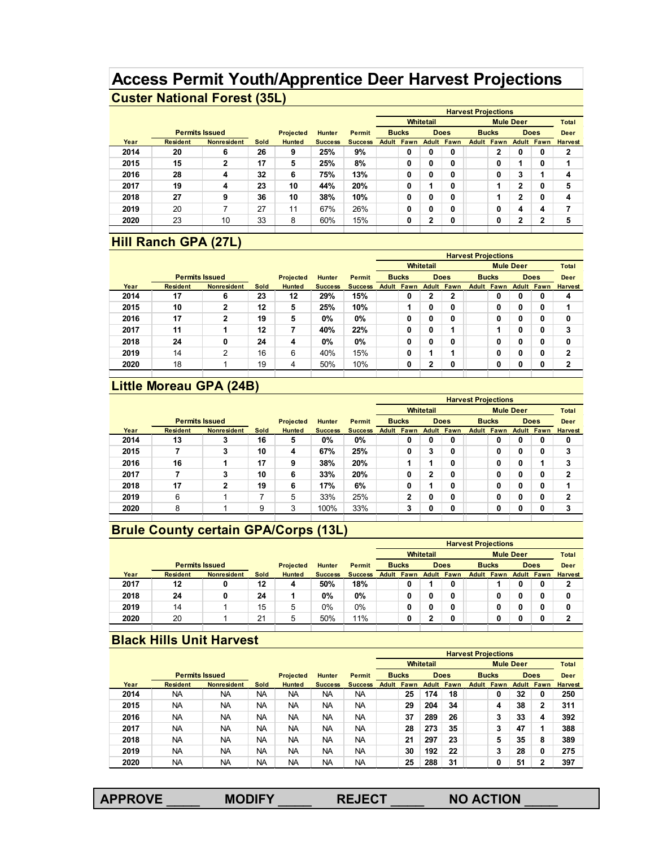## **Access Permit Youth/Apprentice Deer Harvest Projections Custer National Forest (35L)**

|      |                       |                    |      |                  |                |                |       |              |              |             | <b>Harvest Projections</b> |                   |                  |                   |                |
|------|-----------------------|--------------------|------|------------------|----------------|----------------|-------|--------------|--------------|-------------|----------------------------|-------------------|------------------|-------------------|----------------|
|      |                       |                    |      |                  |                |                |       |              | Whitetail    |             |                            |                   | <b>Mule Deer</b> |                   | Total          |
|      | <b>Permits Issued</b> |                    |      | <b>Projected</b> | <b>Hunter</b>  | Permit         |       | <b>Bucks</b> |              | <b>Does</b> |                            | <b>Bucks</b>      |                  | <b>Does</b>       | <b>Deer</b>    |
| Year | <b>Resident</b>       | <b>Nonresident</b> | Sold | <b>Hunted</b>    | <b>Success</b> | <b>Success</b> | Adult | Fawn         | Adult        | Fawn        |                            | <b>Adult Fawn</b> |                  | <b>Adult Fawn</b> | <b>Harvest</b> |
| 2014 | 20                    | 6                  | 26   | 9                | 25%            | 9%             |       | 0            | 0            | 0           |                            | $\mathbf{2}$      | 0                | 0                 | 2              |
| 2015 | 15                    | $\mathbf{2}$       | 17   | 5                | 25%            | 8%             |       | 0            | 0            | 0           |                            | 0                 |                  | 0                 |                |
| 2016 | 28                    | 4                  | 32   | 6                | 75%            | 13%            |       | 0            | 0            | 0           |                            | 0                 | 3                | и                 | 4              |
| 2017 | 19                    | 4                  | 23   | 10               | 44%            | 20%            |       | 0            |              | 0           |                            |                   | 2                | 0                 | 5              |
| 2018 | 27                    | 9                  | 36   | 10               | 38%            | 10%            |       | 0            | 0            | 0           |                            |                   | າ                | 0                 | 4              |
| 2019 | 20                    | ⇁                  | 27   | 11               | 67%            | 26%            |       | 0            | 0            | 0           |                            | 0                 | 4                | 4                 |                |
| 2020 | 23                    | 10                 | 33   | 8                | 60%            | 15%            |       | 0            | $\mathbf{2}$ | 0           |                            | 0                 | 2                | $\overline{2}$    | 5              |

#### **Hill Ranch GPA (27L)**

|      |                 |                       |      |               |                |                |       |              |                  |                | <b>Harvest Projections</b> |                   |   |                   |                |
|------|-----------------|-----------------------|------|---------------|----------------|----------------|-------|--------------|------------------|----------------|----------------------------|-------------------|---|-------------------|----------------|
|      |                 |                       |      |               |                |                |       |              | <b>Whitetail</b> |                |                            | <b>Mule Deer</b>  |   |                   | Total          |
|      |                 | <b>Permits Issued</b> |      | Projected     | <b>Hunter</b>  | Permit         |       | <b>Bucks</b> |                  | <b>Does</b>    |                            | <b>Bucks</b>      |   | <b>Does</b>       | <b>Deer</b>    |
| Year | <b>Resident</b> | <b>Nonresident</b>    | Sold | <b>Hunted</b> | <b>Success</b> | <b>Success</b> | Adult | Fawn         | Adult            | Fawn           |                            | <b>Adult Fawn</b> |   | <b>Adult Fawn</b> | <b>Harvest</b> |
| 2014 | 17              | 6                     | 23   | 12            | 29%            | 15%            |       | 0            | 2                | $\overline{2}$ |                            | 0                 | 0 | 0                 | 4              |
| 2015 | 10              | $\mathbf{2}$          | 12   | 5             | 25%            | 10%            |       |              | 0                | 0              |                            | 0                 | 0 | 0                 | 1              |
| 2016 | 17              | $\mathbf{2}$          | 19   | 5             | 0%             | 0%             |       | 0            | 0                | 0              |                            | 0                 | 0 | 0                 | 0              |
| 2017 | 11              | 1                     | 12   | 7             | 40%            | 22%            |       | 0            | 0                |                |                            |                   | 0 | 0                 | 3              |
| 2018 | 24              | 0                     | 24   | 4             | 0%             | 0%             |       | 0            | 0                | 0              |                            | 0                 | 0 | 0                 | 0              |
| 2019 | 14              | $\overline{2}$        | 16   | 6             | 40%            | 15%            |       | 0            |                  | ٠              |                            | 0                 | 0 | 0                 | $\mathbf{2}$   |
| 2020 | 18              |                       | 19   | 4             | 50%            | 10%            |       | 0            | $\mathbf{2}$     | 0              |                            | 0                 | 0 | 0                 | $\mathbf{2}$   |
|      |                 |                       |      |               |                |                |       |              |                  |                |                            |                   |   |                   |                |

#### **Little Moreau GPA (24B)**

|      |                       |                    |      |                  |                |                | <b>Harvest Projections</b> |                   |                  |                   |  |                   |                  |                   |                |
|------|-----------------------|--------------------|------|------------------|----------------|----------------|----------------------------|-------------------|------------------|-------------------|--|-------------------|------------------|-------------------|----------------|
|      |                       |                    |      |                  |                |                |                            |                   | <b>Whitetail</b> |                   |  |                   | <b>Mule Deer</b> |                   | Total          |
|      | <b>Permits Issued</b> |                    |      | <b>Projected</b> | <b>Hunter</b>  | Permit         |                            | <b>Bucks</b>      | <b>Does</b>      |                   |  | <b>Bucks</b>      |                  | <b>Does</b>       | <b>Deer</b>    |
| Year | <b>Resident</b>       | <b>Nonresident</b> | Sold | <b>Hunted</b>    | <b>Success</b> | <b>Success</b> |                            | <b>Adult Fawn</b> |                  | <b>Adult Fawn</b> |  | <b>Adult Fawn</b> |                  | <b>Adult Fawn</b> | <b>Harvest</b> |
| 2014 | 13                    | 3                  | 16   | 5                | 0%             | 0%             |                            | 0                 | 0                | 0                 |  | 0                 | 0                | 0                 | 0              |
| 2015 |                       | 3                  | 10   | 4                | 67%            | 25%            |                            | 0                 | 3                | 0                 |  | 0                 | 0                | 0                 | 3              |
| 2016 | 16                    |                    | 17   | 9                | 38%            | 20%            |                            |                   |                  | 0                 |  | 0                 | 0                |                   | 3              |
| 2017 |                       | 3                  | 10   | 6                | 33%            | 20%            |                            | 0                 | $\mathbf{2}$     | 0                 |  | 0                 | 0                | 0                 | $\mathbf{2}$   |
| 2018 | 17                    | $\mathbf{2}$       | 19   | 6                | 17%            | 6%             |                            | 0                 |                  | 0                 |  | 0                 | 0                | 0                 | 1              |
| 2019 | 6                     |                    | 7    | 5                | 33%            | 25%            |                            | $\mathbf{2}$      | 0                | 0                 |  | 0                 | 0                | 0                 | $\mathbf{2}$   |
| 2020 | 8                     |                    | 9    | 3                | 100%           | 33%            |                            | 3                 | 0                | 0                 |  | 0                 | 0                | 0                 | 3              |

## **Brule County certain GPA/Corps (13L)**

|      |                       |                    |             |               |                |                |                   |                  |                   | <b>Harvest Projections</b> |                   |                  |                   |                |
|------|-----------------------|--------------------|-------------|---------------|----------------|----------------|-------------------|------------------|-------------------|----------------------------|-------------------|------------------|-------------------|----------------|
|      |                       |                    |             |               |                |                |                   | <b>Whitetail</b> |                   |                            |                   | <b>Mule Deer</b> |                   | <b>Total</b>   |
|      | <b>Permits Issued</b> |                    |             | Projected     | <b>Hunter</b>  | <b>Permit</b>  | <b>Bucks</b>      |                  | <b>Does</b>       |                            | <b>Bucks</b>      |                  | <b>Does</b>       | Deer           |
| Year | <b>Resident</b>       | <b>Nonresident</b> | <b>Sold</b> | <b>Hunted</b> | <b>Success</b> | <b>Success</b> | <b>Adult Fawn</b> |                  | <b>Adult Fawn</b> |                            | <b>Adult Fawn</b> |                  | <b>Adult Fawn</b> | <b>Harvest</b> |
| 2017 | 12                    | 0                  | 12          | 4             | 50%            | 18%            | 0                 |                  | 0                 |                            |                   |                  | 0                 | າ<br>▴         |
| 2018 | 24                    | 0                  | 24          |               | 0%             | 0%             | 0                 |                  | 0                 |                            | 0                 |                  | 0                 | 0              |
| 2019 | 14                    |                    | 15          | 5             | 0%             | 0%             | 0                 |                  | 0                 |                            | 0                 |                  | C                 | 0              |
| 2020 | 20                    |                    | 21          | 5             | 50%            | 11%            | 0                 |                  | 0                 |                            | 0                 |                  |                   | ົ              |
|      |                       |                    |             |               |                |                |                   |                  |                   |                            |                   |                  |                   |                |

#### **Black Hills Unit Harvest**

|      |                       |                    |           |                  |                |                |       |              |           |             | <b>Harvest Projections</b> |                   |                  |                   |                |
|------|-----------------------|--------------------|-----------|------------------|----------------|----------------|-------|--------------|-----------|-------------|----------------------------|-------------------|------------------|-------------------|----------------|
|      |                       |                    |           |                  |                |                |       |              | Whitetail |             |                            |                   | <b>Mule Deer</b> |                   | <b>Total</b>   |
|      | <b>Permits Issued</b> |                    |           | <b>Projected</b> | <b>Hunter</b>  | <b>Permit</b>  |       | <b>Bucks</b> |           | <b>Does</b> |                            | <b>Bucks</b>      |                  | <b>Does</b>       | Deer           |
| Year | <b>Resident</b>       | <b>Nonresident</b> | Sold      | <b>Hunted</b>    | <b>Success</b> | <b>Success</b> | Adult | Fawn         | Adult     | Fawn        |                            | <b>Adult Fawn</b> |                  | <b>Adult Fawn</b> | <b>Harvest</b> |
| 2014 | <b>NA</b>             | ΝA                 | NA        | NA               | NA             | <b>NA</b>      |       | 25           | 174       | 18          |                            | 0                 | 32               | 0                 | 250            |
| 2015 | <b>NA</b>             | <b>NA</b>          | <b>NA</b> | <b>NA</b>        | <b>NA</b>      | <b>NA</b>      |       | 29           | 204       | 34          |                            | 4                 | 38               | 2                 | 311            |
| 2016 | <b>NA</b>             | <b>NA</b>          | NA        | NA               | <b>NA</b>      | <b>NA</b>      |       | 37           | 289       | 26          |                            | 3                 | 33               | 4                 | 392            |
| 2017 | <b>NA</b>             | <b>NA</b>          | <b>NA</b> | NA               | <b>NA</b>      | <b>NA</b>      |       | 28           | 273       | 35          |                            | 3                 | 47               | 1                 | 388            |
| 2018 | <b>NA</b>             | ΝA                 | <b>NA</b> | NA               | <b>NA</b>      | <b>NA</b>      |       | 21           | 297       | 23          |                            | 5                 | 35               | 8                 | 389            |
| 2019 | <b>NA</b>             | ΝA                 | NA        | <b>NA</b>        | <b>NA</b>      | <b>NA</b>      |       | 30           | 192       | 22          |                            | 3                 | 28               | 0                 | 275            |
| 2020 | <b>NA</b>             | ΝA                 | <b>NA</b> | NA               | <b>NA</b>      | <b>NA</b>      |       | 25           | 288       | 31          |                            | 0                 | 51               | $\mathbf{2}$      | 397            |

| <b>APPROVE</b> | <b>MODIFY</b> | <b>REJECT</b> | <b>NO ACTION</b> |
|----------------|---------------|---------------|------------------|
|                |               |               |                  |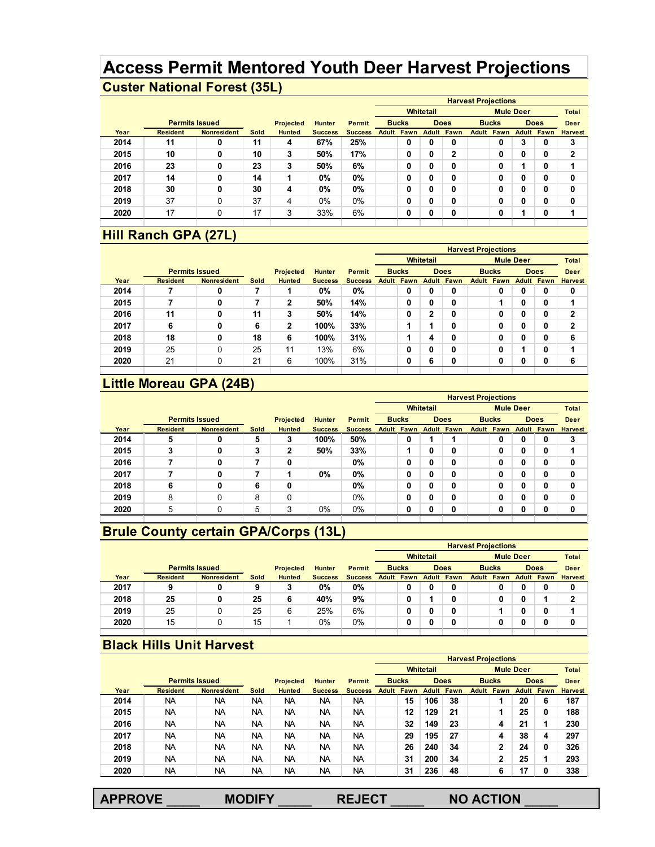# **Access Permit Mentored Youth Deer Harvest Projections**

# **Custer National Forest (35L)**

|      |                       |                    |      |               |                |                |       |              |           |              | <b>Harvest Projections</b> |                   |                  |                   |                |
|------|-----------------------|--------------------|------|---------------|----------------|----------------|-------|--------------|-----------|--------------|----------------------------|-------------------|------------------|-------------------|----------------|
|      |                       |                    |      |               |                |                |       |              | Whitetail |              |                            |                   | <b>Mule Deer</b> |                   | <b>Total</b>   |
|      | <b>Permits Issued</b> |                    |      | Projected     | <b>Hunter</b>  | <b>Permit</b>  |       | <b>Bucks</b> |           | <b>Does</b>  |                            | <b>Bucks</b>      |                  | <b>Does</b>       | Deer           |
| Year | <b>Resident</b>       | <b>Nonresident</b> | Sold | <b>Hunted</b> | <b>Success</b> | <b>Success</b> | Adult | Fawn         | Adult     | Fawn         |                            | <b>Adult Fawn</b> |                  | <b>Adult Fawn</b> | <b>Harvest</b> |
| 2014 | 11                    | 0                  | 11   | 4             | 67%            | 25%            |       | 0            | 0         | 0            |                            | 0                 | 3                | 0                 | 3              |
| 2015 | 10                    | 0                  | 10   | 3             | 50%            | 17%            |       | 0            | 0         | $\mathbf{2}$ |                            | 0                 | 0                | 0                 | $\overline{2}$ |
| 2016 | 23                    | 0                  | 23   | 3             | 50%            | 6%             |       | 0            | 0         | 0            |                            | 0                 |                  | 0                 | 4              |
| 2017 | 14                    | 0                  | 14   |               | 0%             | $0\%$          |       | 0            | 0         | 0            |                            | 0                 | 0                | 0                 | 0              |
| 2018 | 30                    | 0                  | 30   | 4             | 0%             | $0\%$          |       | 0            | 0         | 0            |                            | 0                 | 0                | 0                 | 0              |
| 2019 | 37                    | 0                  | 37   | 4             | $0\%$          | $0\%$          |       | 0            | 0         | 0            |                            | 0                 | 0                | 0                 | 0              |
| 2020 | 17                    | 0                  | 17   | 3             | 33%            | 6%             |       | 0            | 0         | 0            |                            | 0                 |                  | 0                 | 4              |
|      |                       |                    |      |               |                |                |       |              |           |              |                            |                   |                  |                   |                |

#### **Hill Ranch GPA (27L)**

|      |                       |                    |      |               |                |                |                   |             |                   | <b>Harvest Projections</b> |                   |                  |                   |                |
|------|-----------------------|--------------------|------|---------------|----------------|----------------|-------------------|-------------|-------------------|----------------------------|-------------------|------------------|-------------------|----------------|
|      |                       |                    |      |               |                |                |                   | Whitetail   |                   |                            |                   | <b>Mule Deer</b> |                   | <b>Total</b>   |
|      | <b>Permits Issued</b> |                    |      | Projected     | <b>Hunter</b>  | <b>Permit</b>  | <b>Bucks</b>      | <b>Does</b> |                   |                            | <b>Bucks</b>      |                  | <b>Does</b>       | Deer           |
| Year | <b>Resident</b>       | <b>Nonresident</b> | Sold | <b>Hunted</b> | <b>Success</b> | <b>Success</b> | <b>Adult Fawn</b> |             | <b>Adult Fawn</b> |                            | <b>Adult Fawn</b> |                  | <b>Adult Fawn</b> | <b>Harvest</b> |
| 2014 |                       | 0                  |      |               | 0%             | $0\%$          | 0                 | 0           | 0                 |                            | 0                 | 0                | 0                 | 0              |
| 2015 |                       | 0                  | 7    | 2             | 50%            | 14%            | 0                 | 0           | 0                 |                            |                   | 0                | 0                 | 1              |
| 2016 | 11                    | 0                  | 11   | 3             | 50%            | 14%            | 0                 | 2           | 0                 |                            | 0                 | 0                | 0                 | 2              |
| 2017 | 6                     | 0                  | 6    | 2             | 100%           | 33%            |                   |             | 0                 |                            | 0                 | 0                | 0                 | $\mathbf{2}$   |
| 2018 | 18                    | 0                  | 18   | 6             | 100%           | 31%            |                   | 4           | 0                 |                            | 0                 | 0                | 0                 | 6              |
| 2019 | 25                    | 0                  | 25   | 11            | 13%            | 6%             | 0                 | 0           | 0                 |                            | 0                 |                  | 0                 | 4              |
| 2020 | 21                    | 0                  | 21   | 6             | 100%           | 31%            | 0                 | 6           | 0                 |                            | 0                 | 0                | 0                 | 6              |

## **Little Moreau GPA (24B)**

|      |                       |                    |      |               |                |                |       |              |                  |             | <b>Harvest Projections</b> |              |                  |             |                |
|------|-----------------------|--------------------|------|---------------|----------------|----------------|-------|--------------|------------------|-------------|----------------------------|--------------|------------------|-------------|----------------|
|      |                       |                    |      |               |                |                |       |              | <b>Whitetail</b> |             |                            |              | <b>Mule Deer</b> |             | <b>Total</b>   |
|      | <b>Permits Issued</b> |                    |      | Projected     | <b>Hunter</b>  | <b>Permit</b>  |       | <b>Bucks</b> |                  | <b>Does</b> |                            | <b>Bucks</b> |                  | <b>Does</b> | Deer           |
| Year | <b>Resident</b>       | <b>Nonresident</b> | Sold | <b>Hunted</b> | <b>Success</b> | <b>Success</b> | Adult | Fawn         | Adult            | Fawn        | Adult                      | Fawn         | Adult            | Fawn        | <b>Harvest</b> |
| 2014 | 5                     |                    | 5    | 3             | 100%           | 50%            |       | 0            |                  |             |                            | 0            | 0                | 0           | 3              |
| 2015 | 3                     | 0                  | 3    | 2             | 50%            | 33%            |       |              | 0                | 0           |                            | 0            | 0                | 0           |                |
| 2016 |                       |                    |      | 0             |                | 0%             |       | 0            | 0                | 0           |                            | 0            | 0                | 0           | 0              |
| 2017 |                       |                    |      |               | 0%             | $0\%$          |       | 0            | 0                | u           |                            | 0            | 0                | 0           | 0              |
| 2018 | 6                     |                    | 6    | 0             |                | 0%             |       | 0            | 0                | 0           |                            | 0            | 0                | 0           | 0              |
| 2019 | 8                     | 0                  | 8    | 0             |                | 0%             |       | 0            | 0                | 0           |                            | 0            | 0                | 0           | 0              |
| 2020 | 5                     | 0                  | 5    | 3             | 0%             | $0\%$          |       | 0            | 0                | 0           |                            | 0            | 0                | 0           | 0              |

# **Brule County certain GPA/Corps (13L)**

|      |                       |                    |      |                  |                |                |                   |                  |                   | <b>Harvest Projections</b> |                   |                |
|------|-----------------------|--------------------|------|------------------|----------------|----------------|-------------------|------------------|-------------------|----------------------------|-------------------|----------------|
|      |                       |                    |      |                  |                |                |                   | <b>Whitetail</b> |                   | <b>Mule Deer</b>           |                   | <b>Total</b>   |
|      | <b>Permits Issued</b> |                    |      | <b>Projected</b> | <b>Hunter</b>  | <b>Permit</b>  | <b>Bucks</b>      |                  | <b>Does</b>       | <b>Bucks</b>               | <b>Does</b>       | Deer           |
| Year | <b>Resident</b>       | <b>Nonresident</b> | Sold | <b>Hunted</b>    | <b>Success</b> | <b>Success</b> | <b>Adult Fawn</b> |                  | <b>Adult Fawn</b> | <b>Adult Fawn</b>          | <b>Adult Fawn</b> | <b>Harvest</b> |
| 2017 | 9                     | 0                  | 9    | 3                | 0%             | 0%             | 0                 | 0                | 0                 | 0                          | 0                 | 0              |
| 2018 | 25                    | 0                  | 25   | 6                | 40%            | 9%             | 0                 |                  | 0                 |                            |                   | ◠              |
| 2019 | 25                    | 0                  | 25   | 6                | 25%            | 6%             | 0                 | 0                | 0                 |                            | 0                 |                |
| 2020 | 15                    |                    | 15   |                  | 0%             | 0%             | 0                 | 0                | 0                 |                            | 0                 |                |
|      |                       |                    |      |                  |                |                |                   |                  |                   |                            |                   |                |

#### **Black Hills Unit Harvest**

|      |                       |                    |           |               |                |                | <b>Harvest Projections</b> |              |                  |             |  |                   |                  |      |                |
|------|-----------------------|--------------------|-----------|---------------|----------------|----------------|----------------------------|--------------|------------------|-------------|--|-------------------|------------------|------|----------------|
|      |                       |                    |           |               |                |                |                            |              | <b>Whitetail</b> |             |  |                   | <b>Mule Deer</b> |      | <b>Total</b>   |
|      | <b>Permits Issued</b> |                    |           | Projected     | <b>Hunter</b>  | <b>Permit</b>  |                            | <b>Bucks</b> |                  | <b>Does</b> |  | <b>Bucks</b>      | <b>Does</b>      |      | Deer           |
| Year | <b>Resident</b>       | <b>Nonresident</b> | Sold      | <b>Hunted</b> | <b>Success</b> | <b>Success</b> | Adult                      | Fawn         | Adult            | Fawn        |  | <b>Adult Fawn</b> | Adult            | Fawn | <b>Harvest</b> |
| 2014 | <b>NA</b>             | <b>NA</b>          | NA        | <b>NA</b>     | NA.            | <b>NA</b>      |                            | 15           | 106              | 38          |  |                   | 20               | 6    | 187            |
| 2015 | <b>NA</b>             | NA                 | <b>NA</b> | <b>NA</b>     | <b>NA</b>      | <b>NA</b>      |                            | 12           | 129              | 21          |  |                   | 25               | 0    | 188            |
| 2016 | <b>NA</b>             | <b>NA</b>          | NA        | <b>NA</b>     | <b>NA</b>      | <b>NA</b>      |                            | 32           | 149              | 23          |  | 4                 | 21               | 1    | 230            |
| 2017 | <b>NA</b>             | <b>NA</b>          | <b>NA</b> | <b>NA</b>     | <b>NA</b>      | <b>NA</b>      |                            | 29           | 195              | 27          |  | 4                 | 38               | 4    | 297            |
| 2018 | <b>NA</b>             | <b>NA</b>          | <b>NA</b> | <b>NA</b>     | NA.            | <b>NA</b>      |                            | 26           | 240              | 34          |  | 2                 | 24               | 0    | 326            |
| 2019 | <b>NA</b>             | <b>NA</b>          | <b>NA</b> | <b>NA</b>     | <b>NA</b>      | <b>NA</b>      |                            | 31           | 200              | 34          |  | 2                 | 25               | 1    | 293            |
| 2020 | <b>NA</b>             | <b>NA</b>          | <b>NA</b> | <b>NA</b>     | <b>NA</b>      | <b>NA</b>      |                            | 31           | 236              | 48          |  | 6                 | 17               | 0    | 338            |

| <b>APPROVE</b> | <b>MODIFY</b> | <b>REJECT</b> | <b>NO ACTION</b> |
|----------------|---------------|---------------|------------------|
|                |               |               |                  |